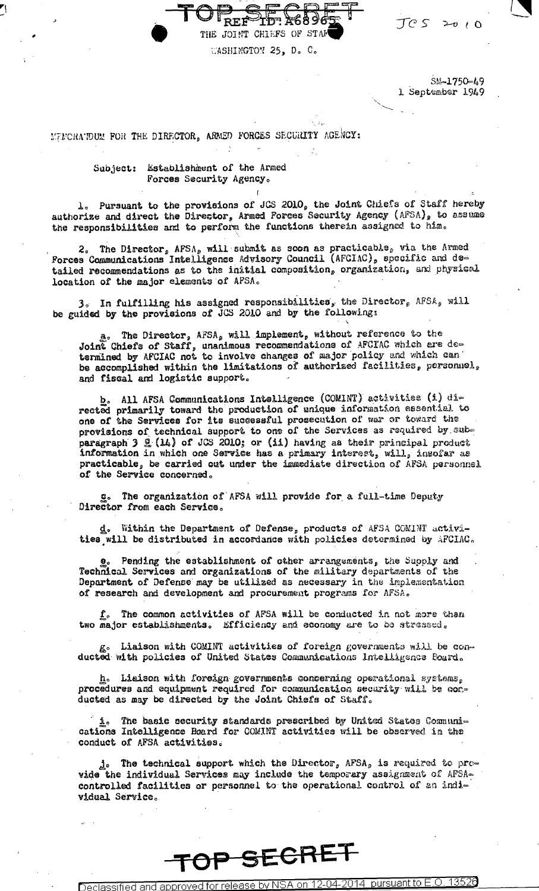THE JOINT CHIEFS OF STAF WASHINGTON 25, D. C.

> SM-1750-49 1 September 1949

 $JCS \geq 0$ 

MUNCHANDUM FOR THE DIRECTOR, ARMED FORCES SECURITY AGENCY:

Subject: Establishment of the Armed Forces Security Agency.

1. Pursuant to the provisions of JCS 2010, the Joint Chiefs of Staff hereby authorize and direct the Director, Armed Forces Security Agency (AFSA), to assume the responsibilities and to perform the functions therein assigned to him.

2. The Director, AFSA, will submit as soon as practicable, via the Armed Forces Communications Intelligence Advisory Council (AFCIAC), specific and detailed recommendations as to the initial composition, organization, and physical location of the major elements of AFSA.

3. In fulfilling his assigned responsibilities, the Director, AFSA, will be guided by the provisions of JCS 2010 and by the following:

a. The Director, AFSA, will implement, without reference to the Joint Chiefs of Staff, unanimous recommendations of AFCIAC which are de-<br>termined by AFCIAC not to involve changes of major policy and which can be accomplished within the limitations of authorized facilities, personnel, and fiscal and logistic support.

b. All AFSA Communications Intelligence (COMINT) activities (i) directed primarily toward the production of unique information essential to one of the Services for its successful prosecution of war or toward the provisions of technical support to one of the Services as required by subparagraph 3 g (14) of JCS 2010; or (ii) having as their principal product information in which one Service has a primary interest, will, insofar as practicable, be carried out under the immediate direction of AFSA personnel of the Service concerned.

g. The organization of AFSA will provide for a full-time Deputy Director from each Service.

d. Within the Department of Defense, products of AFSA COMINT activities will be distributed in accordance with policies determined by APCIAC.

Pending the establishment of other arrangements, the Supply and Technical Services and organizations of the military departments of the Department of Defense may be utilized as necessary in the implementation of research and development and procurement programs for AFSA.

The common activities of AFSA will be conducted in not more than two major establishments. Efficiency and economy are to be stressed.

g. Liaison with COMINT activities of foreign governments will be conducted with policies of United States Communications Intelligence Foard.

h. Liaison with foreign governments concerning operational systems, procedures and equipment required for communication security will be conducted as may be directed by the Joint Chiefs of Staff.

i. The basic security standards prescribed by United States Communi-<br>cations Intelligence Board for COMINT activities will be observed in the conduct of AFSA activities.

 $j_{\circ}$  The technical support which the Director, AFSA, is required to provide the individual Services may include the temporary assignment of AFSAcontrolled facilities or personnel to the operational control of an individual Service.

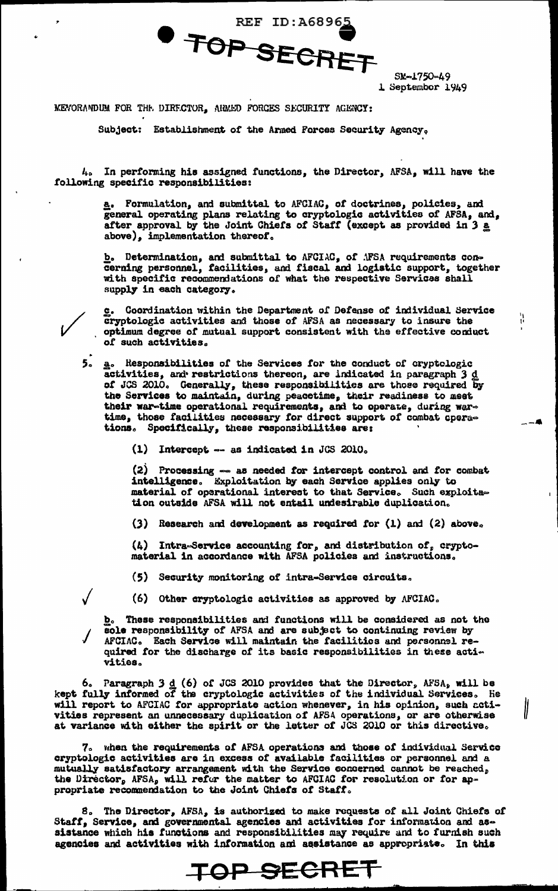**REF ID: A6896** TOP SECRET

SM-1750-49 1 September 1949

۱۱.<br>ا

MEVORANDUM FOR THE DIRECTOR, AGMED FORCES SECURITY AGENCY:

Subject: Establishment of the Armed Forces Security Agency,

4. In performing his assigned functions, the Director, AFSA, will have the following specific responsibilities:

> a. Formulation, and submittal to AFCIAC, of doctrines, policies, and general operating plans relating to cryptologic activities of AFSA, and, after approval by the Joint Chiefs of Staff (except as provided in 3 a above), implementation thereof.

> b. Determination, and submittal to AFCIAC, of AFSA requirements concerning personnel, facilities, and fiscal and logistic support, together with specific recommendations of what the respective Services shall supply in each category.

Coordination within the Department of Defense of individual Service cryptologic activities and those of AFSA as necessary to insure the optimum degree of mutual support consistent with the effective conduct of such activities.

5. a. Responsibilities of the Services for the conduct of cryptologic activities, and restrictions thereon, are indicated in paragraph 3 d of JCS 2010. Generally, these responsibilities are those required by the Services to maintain, during peacetime, their readiness to meet their war-time operational requirements, and to operate, during wartime, those facilities necessary for direct support of combat operations. Specifically, these responsibilities are:

(1) Intercept  $\sim$  as indicated in JCS 2010.

(2) Processing -- as needed for intercept control and for combat intelligence. Exploitation by each Service applies only to material of operational interest to that Service. Such exploitation outside AFSA will not entail undesirable duplication.

(3) Research and development as required for  $(1)$  and  $(2)$  above.

(4) Intra-Service accounting for, and distribution of, cryptomaterial in accordance with AFSA policies and instructions.

(5) Security monitoring of intra-Service circuits.

(6) Other cryptologic activities as approved by AFCIAC.

These responsibilities and functions will be considered as not the **b.** sole responsibility of AFSA and are subject to continuing review by AFCIAC. Each Service will maintain the facilities and personnel required for the discharge of its basic responsibilities in these activities.

6. Paragraph 3  $d$  (6) of JCS 2010 provides that the Director, AFSA, will be kept fully informed of the cryptologic activities of the individual Services. He will report to AFCIAC for appropriate action whenever, in his opinion, such activities represent an unnecessary duplication of AFSA operations, or are otherwise at variance with either the spirit or the letter of JCS 2010 or this directive.

7. when the requirements of AFSA operations and those of individual Service cryptologic activities are in excess of available facilities or personnel and a mutually satisfactory arrangement with the Service concerned cannot be reached, the Director, AFSA, will refer the matter to AFCIAC for resolution or for appropriate recommendation to the Joint Chiefs of Staff.

8. The Director, AFSA, is authorized to make requests of all Joint Chiefs of Staff, Service, and governmental agencies and activities for information and assistance which his functions and responsibilities may require and to furnish such agencies and activities with information ami assistance as appropriate. In this

TOP SECRET